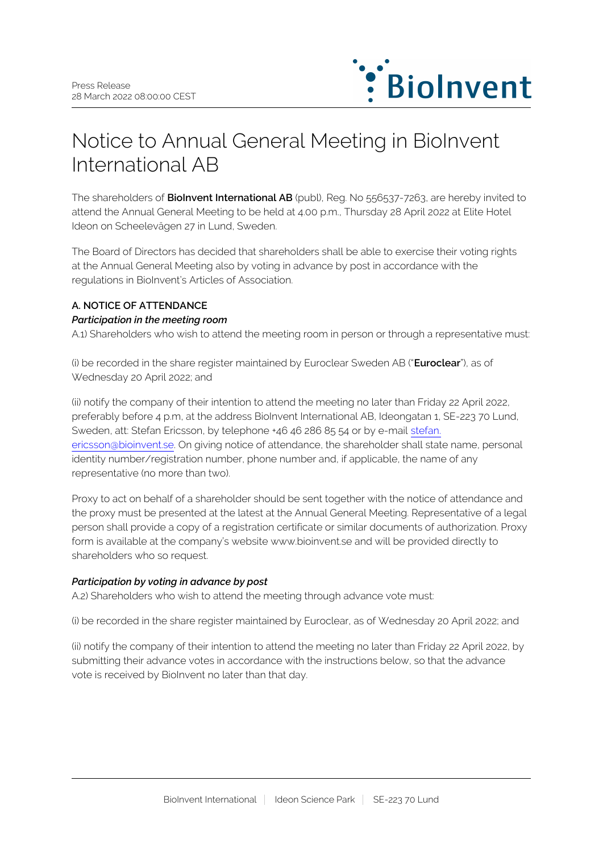

# Notice to Annual General Meeting in BioInvent International AB

The shareholders of **BioInvent International AB** (publ), Reg. No 556537-7263, are hereby invited to attend the Annual General Meeting to be held at 4.00 p.m., Thursday 28 April 2022 at Elite Hotel Ideon on Scheelevägen 27 in Lund, Sweden.

The Board of Directors has decided that shareholders shall be able to exercise their voting rights at the Annual General Meeting also by voting in advance by post in accordance with the regulations in BioInvent's Articles of Association.

# **A. NOTICE OF ATTENDANCE** *Participation in the meeting room*

A.1) Shareholders who wish to attend the meeting room in person or through a representative must:

(i) be recorded in the share register maintained by Euroclear Sweden AB ("**Euroclear**"), as of Wednesday 20 April 2022; and

(ii) notify the company of their intention to attend the meeting no later than Friday 22 April 2022, preferably before 4 p.m, at the address BioInvent International AB, Ideongatan 1, SE-223 70 Lund, Sweden, att: Stefan Ericsson, by telephone +46 46 286 85 54 or by e-mail [stefan.](mailto:stefan.ericsson@bioinvent.se) [ericsson@bioinvent.se.](mailto:stefan.ericsson@bioinvent.se) On giving notice of attendance, the shareholder shall state name, personal identity number/registration number, phone number and, if applicable, the name of any representative (no more than two).

Proxy to act on behalf of a shareholder should be sent together with the notice of attendance and the proxy must be presented at the latest at the Annual General Meeting. Representative of a legal person shall provide a copy of a registration certificate or similar documents of authorization. Proxy form is available at the company's website www.bioinvent.se and will be provided directly to shareholders who so request.

# *Participation by voting in advance by post*

A.2) Shareholders who wish to attend the meeting through advance vote must:

(i) be recorded in the share register maintained by Euroclear, as of Wednesday 20 April 2022; and

(ii) notify the company of their intention to attend the meeting no later than Friday 22 April 2022, by submitting their advance votes in accordance with the instructions below, so that the advance vote is received by BioInvent no later than that day.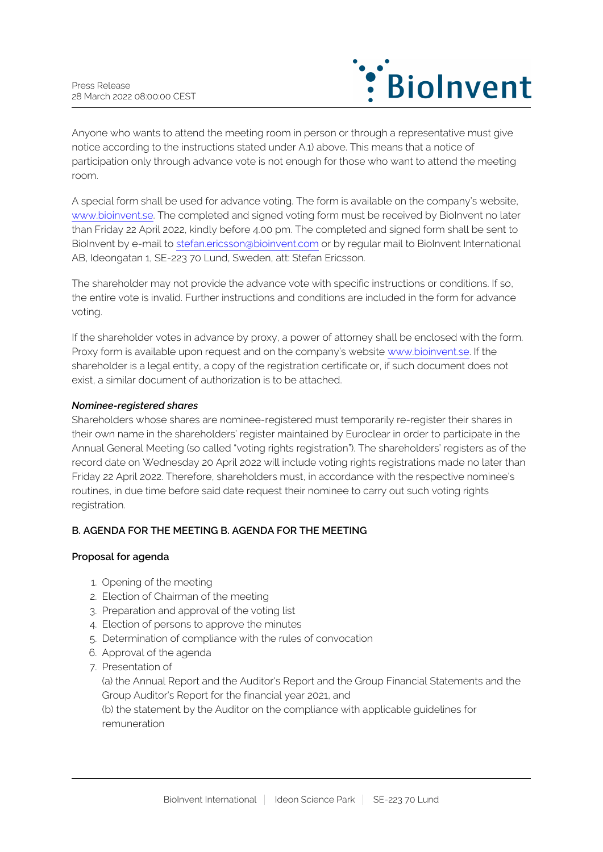

Anyone who wants to attend the meeting room in person or through a representative must give notice according to the instructions stated under A.1) above. This means that a notice of participation only through advance vote is not enough for those who want to attend the meeting room.

A special form shall be used for advance voting. The form is available on the company's website, [www.bioinvent.se](http://www.bioinvent.se/). The completed and signed voting form must be received by BioInvent no later than Friday 22 April 2022, kindly before 4.00 pm. The completed and signed form shall be sent to BioInvent by e-mail to [stefan.ericsson@bioinvent.com](mailto:stefan.ericsson@bioinvent.com) or by regular mail to BioInvent International AB, Ideongatan 1, SE-223 70 Lund, Sweden, att: Stefan Ericsson.

The shareholder may not provide the advance vote with specific instructions or conditions. If so, the entire vote is invalid. Further instructions and conditions are included in the form for advance voting.

If the shareholder votes in advance by proxy, a power of attorney shall be enclosed with the form. Proxy form is available upon request and on the company's website [www.bioinvent.se](http://www.bioinvent.se/). If the shareholder is a legal entity, a copy of the registration certificate or, if such document does not exist, a similar document of authorization is to be attached.

#### *Nominee-registered shares*

Shareholders whose shares are nominee-registered must temporarily re-register their shares in their own name in the shareholders' register maintained by Euroclear in order to participate in the Annual General Meeting (so called "voting rights registration"). The shareholders' registers as of the record date on Wednesday 20 April 2022 will include voting rights registrations made no later than Friday 22 April 2022. Therefore, shareholders must, in accordance with the respective nominee's routines, in due time before said date request their nominee to carry out such voting rights registration.

# **B. AGENDA FOR THE MEETING B. AGENDA FOR THE MEETING**

#### **Proposal for agenda**

- 1. Opening of the meeting
- 2. Election of Chairman of the meeting
- 3. Preparation and approval of the voting list
- 4. Election of persons to approve the minutes
- 5. Determination of compliance with the rules of convocation
- 6. Approval of the agenda
- 7. Presentation of

(a) the Annual Report and the Auditor's Report and the Group Financial Statements and the Group Auditor's Report for the financial year 2021, and

(b) the statement by the Auditor on the compliance with applicable guidelines for remuneration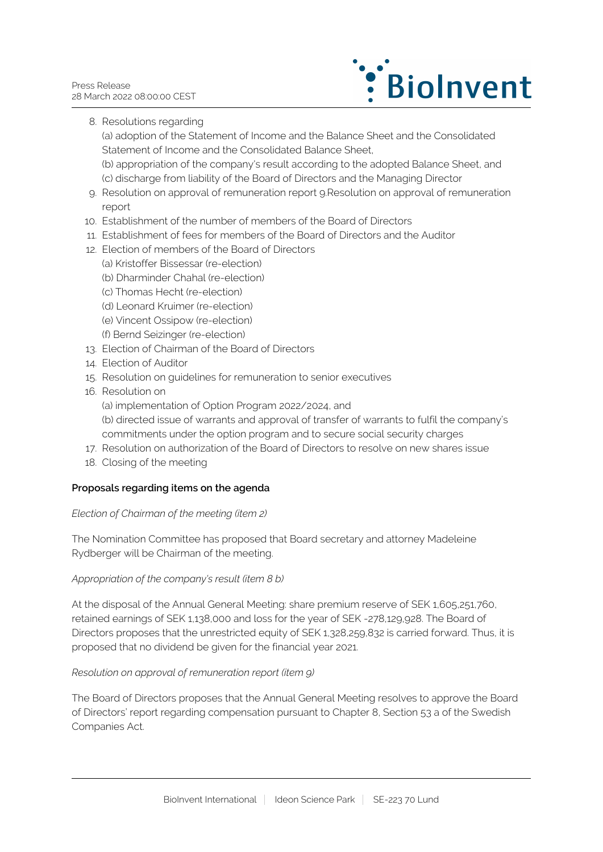

8. Resolutions regarding

(a) adoption of the Statement of Income and the Balance Sheet and the Consolidated Statement of Income and the Consolidated Balance Sheet,

- (b) appropriation of the company's result according to the adopted Balance Sheet, and (c) discharge from liability of the Board of Directors and the Managing Director
- 9. Resolution on approval of remuneration report 9.Resolution on approval of remuneration report
- 10. Establishment of the number of members of the Board of Directors
- 11. Establishment of fees for members of the Board of Directors and the Auditor
- 12. Election of members of the Board of Directors
	- (a) Kristoffer Bissessar (re-election)
	- (b) Dharminder Chahal (re-election)
	- (c) Thomas Hecht (re-election)
	- (d) Leonard Kruimer (re-election)
	- (e) Vincent Ossipow (re-election)
	- (f) Bernd Seizinger (re-election)
- 13. Election of Chairman of the Board of Directors
- 14. Election of Auditor
- 15. Resolution on guidelines for remuneration to senior executives
- 16. Resolution on
	- (a) implementation of Option Program 2022/2024, and
	- (b) directed issue of warrants and approval of transfer of warrants to fulfil the company's commitments under the option program and to secure social security charges
- 17. Resolution on authorization of the Board of Directors to resolve on new shares issue
- 18. Closing of the meeting

#### **Proposals regarding items on the agenda**

#### *Election of Chairman of the meeting (item 2)*

The Nomination Committee has proposed that Board secretary and attorney Madeleine Rydberger will be Chairman of the meeting.

#### *Appropriation of the company's result (item 8 b)*

At the disposal of the Annual General Meeting: share premium reserve of SEK 1,605,251,760, retained earnings of SEK 1,138,000 and loss for the year of SEK -278,129,928. The Board of Directors proposes that the unrestricted equity of SEK 1,328,259,832 is carried forward. Thus, it is proposed that no dividend be given for the financial year 2021.

#### *Resolution on approval of remuneration report (item 9)*

The Board of Directors proposes that the Annual General Meeting resolves to approve the Board of Directors' report regarding compensation pursuant to Chapter 8, Section 53 a of the Swedish Companies Act.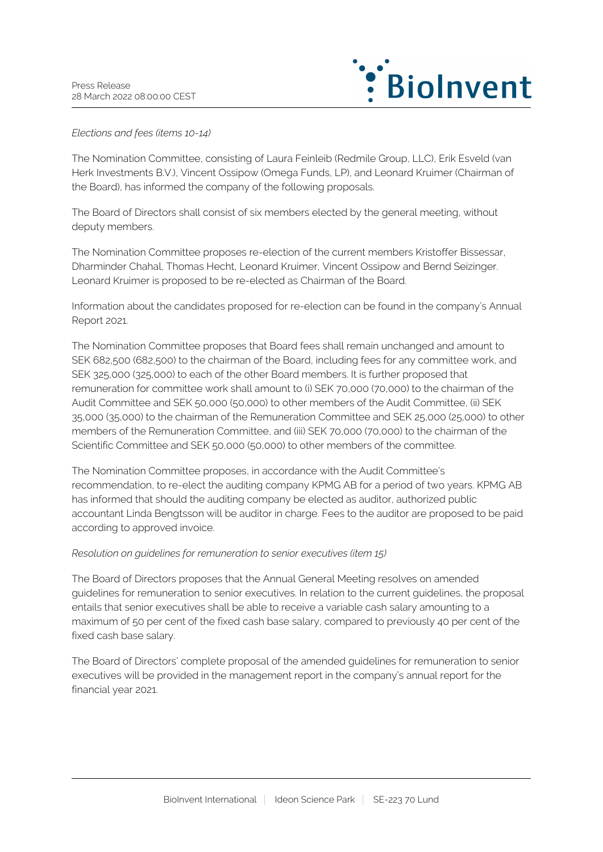

### *Elections and fees (items 10-14)*

The Nomination Committee, consisting of Laura Feinleib (Redmile Group, LLC), Erik Esveld (van Herk Investments B.V.), Vincent Ossipow (Omega Funds, LP), and Leonard Kruimer (Chairman of the Board), has informed the company of the following proposals.

The Board of Directors shall consist of six members elected by the general meeting, without deputy members.

The Nomination Committee proposes re-election of the current members Kristoffer Bissessar, Dharminder Chahal, Thomas Hecht, Leonard Kruimer, Vincent Ossipow and Bernd Seizinger. Leonard Kruimer is proposed to be re-elected as Chairman of the Board.

Information about the candidates proposed for re-election can be found in the company's Annual Report 2021.

The Nomination Committee proposes that Board fees shall remain unchanged and amount to SEK 682,500 (682,500) to the chairman of the Board, including fees for any committee work, and SEK 325,000 (325,000) to each of the other Board members. It is further proposed that remuneration for committee work shall amount to (i) SEK 70,000 (70,000) to the chairman of the Audit Committee and SEK 50,000 (50,000) to other members of the Audit Committee, (ii) SEK 35,000 (35,000) to the chairman of the Remuneration Committee and SEK 25,000 (25,000) to other members of the Remuneration Committee, and (iii) SEK 70,000 (70,000) to the chairman of the Scientific Committee and SEK 50,000 (50,000) to other members of the committee.

The Nomination Committee proposes, in accordance with the Audit Committee's recommendation, to re-elect the auditing company KPMG AB for a period of two years. KPMG AB has informed that should the auditing company be elected as auditor, authorized public accountant Linda Bengtsson will be auditor in charge. Fees to the auditor are proposed to be paid according to approved invoice.

#### *Resolution on guidelines for remuneration to senior executives (item 15)*

The Board of Directors proposes that the Annual General Meeting resolves on amended guidelines for remuneration to senior executives. In relation to the current guidelines, the proposal entails that senior executives shall be able to receive a variable cash salary amounting to a maximum of 50 per cent of the fixed cash base salary, compared to previously 40 per cent of the fixed cash base salary.

The Board of Directors' complete proposal of the amended guidelines for remuneration to senior executives will be provided in the management report in the company's annual report for the financial year 2021.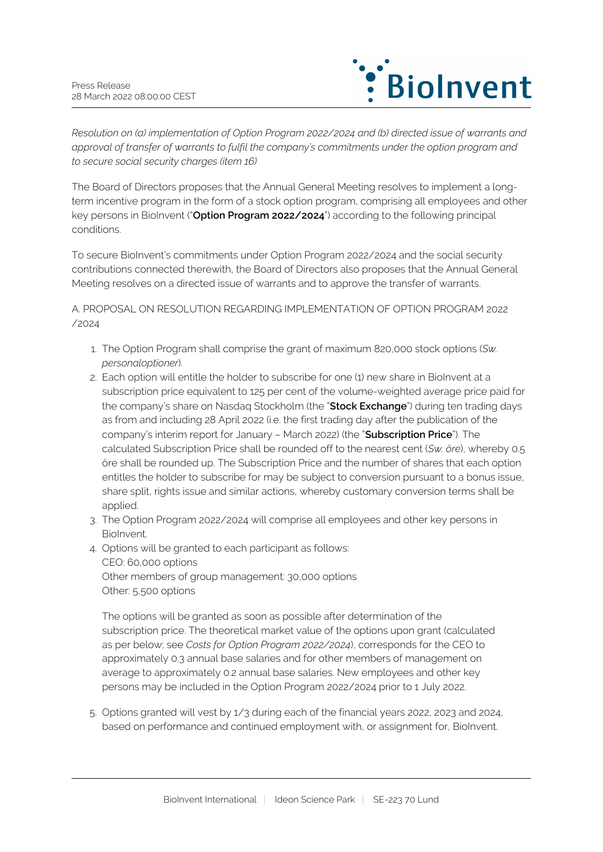

*Resolution on (a) implementation of Option Program 2022/2024 and (b) directed issue of warrants and approval of transfer of warrants to fulfil the company's commitments under the option program and to secure social security charges (item 16)*

The Board of Directors proposes that the Annual General Meeting resolves to implement a longterm incentive program in the form of a stock option program, comprising all employees and other key persons in BioInvent ("**Option Program 2022/2024**") according to the following principal conditions.

To secure BioInvent's commitments under Option Program 2022/2024 and the social security contributions connected therewith, the Board of Directors also proposes that the Annual General Meeting resolves on a directed issue of warrants and to approve the transfer of warrants.

A. PROPOSAL ON RESOLUTION REGARDING IMPLEMENTATION OF OPTION PROGRAM 2022 /2024

- 1. The Option Program shall comprise the grant of maximum 820,000 stock options (*Sw. personaloptioner*).
- 2. Each option will entitle the holder to subscribe for one (1) new share in BioInvent at a subscription price equivalent to 125 per cent of the volume-weighted average price paid for the company's share on Nasdaq Stockholm (the "**Stock Exchange**") during ten trading days as from and including 28 April 2022 (i.e. the first trading day after the publication of the company's interim report for January – March 2022) (the "**Subscription Price**"). The calculated Subscription Price shall be rounded off to the nearest cent (*Sw. öre*), whereby 0.5 öre shall be rounded up. The Subscription Price and the number of shares that each option entitles the holder to subscribe for may be subject to conversion pursuant to a bonus issue, share split, rights issue and similar actions, whereby customary conversion terms shall be applied.
- 3. The Option Program 2022/2024 will comprise all employees and other key persons in BioInvent.
- 4. Options will be granted to each participant as follows: CEO: 60,000 options Other members of group management: 30,000 options Other: 5,500 options

The options will be granted as soon as possible after determination of the subscription price. The theoretical market value of the options upon grant (calculated as per below; see *Costs for Option Program 2022/2024*), corresponds for the CEO to approximately 0.3 annual base salaries and for other members of management on average to approximately 0.2 annual base salaries. New employees and other key persons may be included in the Option Program 2022/2024 prior to 1 July 2022.

5. Options granted will vest by 1/3 during each of the financial years 2022, 2023 and 2024, based on performance and continued employment with, or assignment for, BioInvent.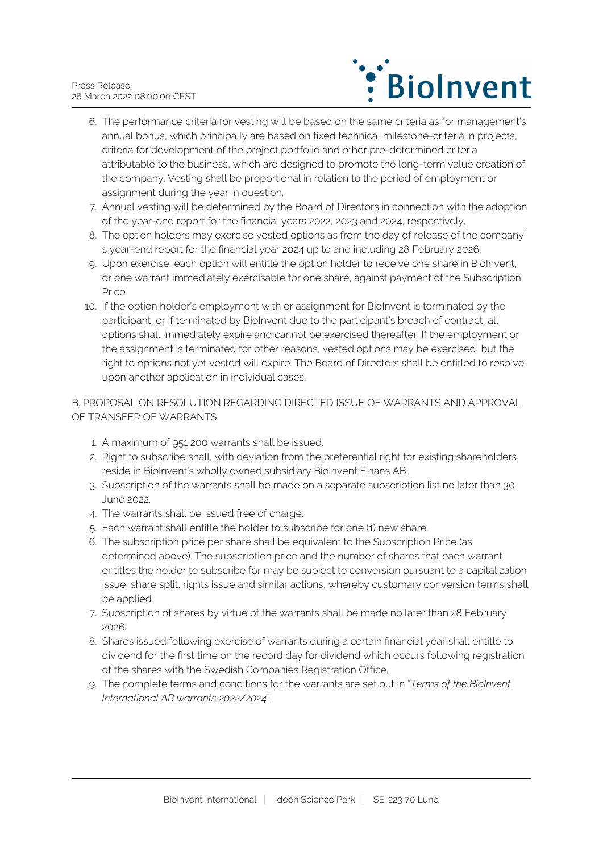

- 6. The performance criteria for vesting will be based on the same criteria as for management's annual bonus, which principally are based on fixed technical milestone-criteria in projects, criteria for development of the project portfolio and other pre-determined criteria attributable to the business, which are designed to promote the long-term value creation of the company. Vesting shall be proportional in relation to the period of employment or assignment during the year in question.
- 7. Annual vesting will be determined by the Board of Directors in connection with the adoption of the year-end report for the financial years 2022, 2023 and 2024, respectively.
- 8. The option holders may exercise vested options as from the day of release of the company' s year-end report for the financial year 2024 up to and including 28 February 2026.
- 9. Upon exercise, each option will entitle the option holder to receive one share in BioInvent, or one warrant immediately exercisable for one share, against payment of the Subscription Price.
- 10. If the option holder's employment with or assignment for BioInvent is terminated by the participant, or if terminated by BioInvent due to the participant's breach of contract, all options shall immediately expire and cannot be exercised thereafter. If the employment or the assignment is terminated for other reasons, vested options may be exercised, but the right to options not yet vested will expire. The Board of Directors shall be entitled to resolve upon another application in individual cases.

B. PROPOSAL ON RESOLUTION REGARDING DIRECTED ISSUE OF WARRANTS AND APPROVAL OF TRANSFER OF WARRANTS

- 1. A maximum of 951,200 warrants shall be issued.
- 2. Right to subscribe shall, with deviation from the preferential right for existing shareholders, reside in BioInvent's wholly owned subsidiary BioInvent Finans AB.
- 3. Subscription of the warrants shall be made on a separate subscription list no later than 30 June 2022.
- 4. The warrants shall be issued free of charge.
- 5. Each warrant shall entitle the holder to subscribe for one (1) new share.
- 6. The subscription price per share shall be equivalent to the Subscription Price (as determined above). The subscription price and the number of shares that each warrant entitles the holder to subscribe for may be subject to conversion pursuant to a capitalization issue, share split, rights issue and similar actions, whereby customary conversion terms shall be applied.
- 7. Subscription of shares by virtue of the warrants shall be made no later than 28 February 2026.
- 8. Shares issued following exercise of warrants during a certain financial year shall entitle to dividend for the first time on the record day for dividend which occurs following registration of the shares with the Swedish Companies Registration Office.
- 9. The complete terms and conditions for the warrants are set out in "*Terms of the BioInvent International AB warrants 2022/2024*".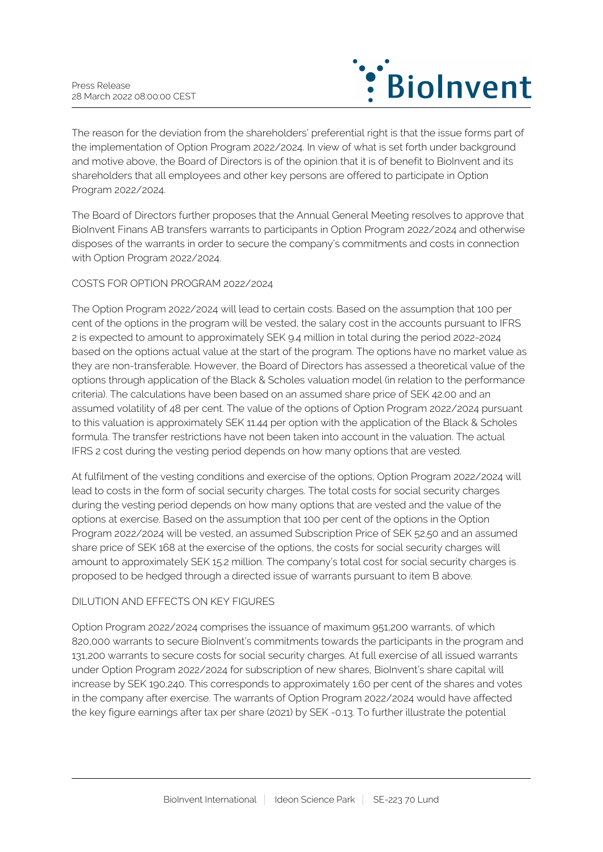

The reason for the deviation from the shareholders' preferential right is that the issue forms part of the implementation of Option Program 2022/2024. In view of what is set forth under background and motive above, the Board of Directors is of the opinion that it is of benefit to BioInvent and its shareholders that all employees and other key persons are offered to participate in Option Program 2022/2024.

The Board of Directors further proposes that the Annual General Meeting resolves to approve that BioInvent Finans AB transfers warrants to participants in Option Program 2022/2024 and otherwise disposes of the warrants in order to secure the company's commitments and costs in connection with Option Program 2022/2024.

#### COSTS FOR OPTION PROGRAM 2022/2024

The Option Program 2022/2024 will lead to certain costs. Based on the assumption that 100 per cent of the options in the program will be vested, the salary cost in the accounts pursuant to IFRS 2 is expected to amount to approximately SEK 9.4 million in total during the period 2022-2024 based on the options actual value at the start of the program. The options have no market value as they are non-transferable. However, the Board of Directors has assessed a theoretical value of the options through application of the Black & Scholes valuation model (in relation to the performance criteria). The calculations have been based on an assumed share price of SEK 42.00 and an assumed volatility of 48 per cent. The value of the options of Option Program 2022/2024 pursuant to this valuation is approximately SEK 11.44 per option with the application of the Black & Scholes formula. The transfer restrictions have not been taken into account in the valuation. The actual IFRS 2 cost during the vesting period depends on how many options that are vested.

At fulfilment of the vesting conditions and exercise of the options, Option Program 2022/2024 will lead to costs in the form of social security charges. The total costs for social security charges during the vesting period depends on how many options that are vested and the value of the options at exercise. Based on the assumption that 100 per cent of the options in the Option Program 2022/2024 will be vested, an assumed Subscription Price of SEK 52.50 and an assumed share price of SEK 168 at the exercise of the options, the costs for social security charges will amount to approximately SEK 15.2 million. The company's total cost for social security charges is proposed to be hedged through a directed issue of warrants pursuant to item B above.

# DILUTION AND EFFECTS ON KEY FIGURES

Option Program 2022/2024 comprises the issuance of maximum 951,200 warrants, of which 820,000 warrants to secure BioInvent's commitments towards the participants in the program and 131,200 warrants to secure costs for social security charges. At full exercise of all issued warrants under Option Program 2022/2024 for subscription of new shares, BioInvent's share capital will increase by SEK 190,240. This corresponds to approximately 1.60 per cent of the shares and votes in the company after exercise. The warrants of Option Program 2022/2024 would have affected the key figure earnings after tax per share (2021) by SEK -0.13. To further illustrate the potential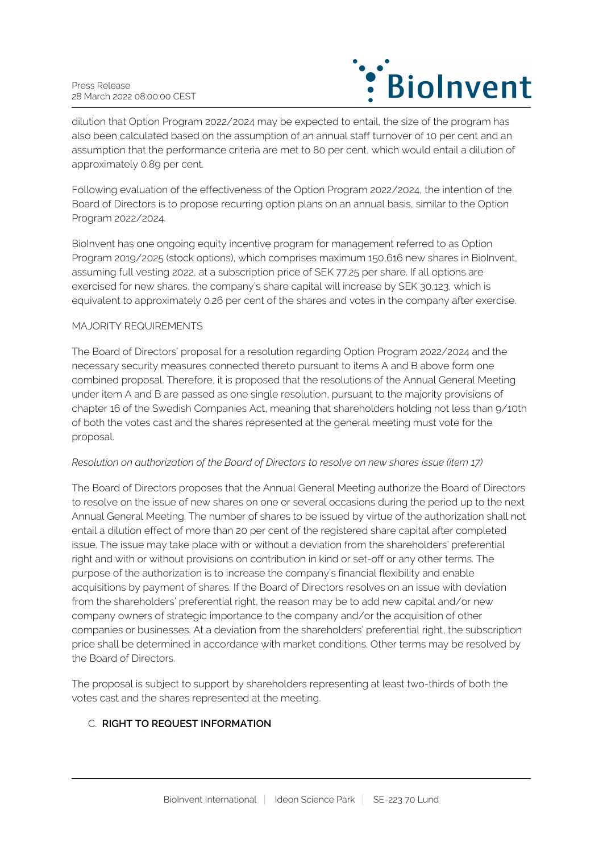

dilution that Option Program 2022/2024 may be expected to entail, the size of the program has also been calculated based on the assumption of an annual staff turnover of 10 per cent and an assumption that the performance criteria are met to 80 per cent, which would entail a dilution of approximately 0.89 per cent.

Following evaluation of the effectiveness of the Option Program 2022/2024, the intention of the Board of Directors is to propose recurring option plans on an annual basis, similar to the Option Program 2022/2024.

BioInvent has one ongoing equity incentive program for management referred to as Option Program 2019/2025 (stock options), which comprises maximum 150,616 new shares in BioInvent, assuming full vesting 2022, at a subscription price of SEK 77.25 per share. If all options are exercised for new shares, the company's share capital will increase by SEK 30,123, which is equivalent to approximately 0.26 per cent of the shares and votes in the company after exercise.

# MAJORITY REQUIREMENTS

The Board of Directors' proposal for a resolution regarding Option Program 2022/2024 and the necessary security measures connected thereto pursuant to items A and B above form one combined proposal. Therefore, it is proposed that the resolutions of the Annual General Meeting under item A and B are passed as one single resolution, pursuant to the majority provisions of chapter 16 of the Swedish Companies Act, meaning that shareholders holding not less than 9/10th of both the votes cast and the shares represented at the general meeting must vote for the proposal.

#### *Resolution on authorization of the Board of Directors to resolve on new shares issue (item 17)*

The Board of Directors proposes that the Annual General Meeting authorize the Board of Directors to resolve on the issue of new shares on one or several occasions during the period up to the next Annual General Meeting. The number of shares to be issued by virtue of the authorization shall not entail a dilution effect of more than 20 per cent of the registered share capital after completed issue. The issue may take place with or without a deviation from the shareholders' preferential right and with or without provisions on contribution in kind or set-off or any other terms. The purpose of the authorization is to increase the company's financial flexibility and enable acquisitions by payment of shares. If the Board of Directors resolves on an issue with deviation from the shareholders' preferential right, the reason may be to add new capital and/or new company owners of strategic importance to the company and/or the acquisition of other companies or businesses. At a deviation from the shareholders' preferential right, the subscription price shall be determined in accordance with market conditions. Other terms may be resolved by the Board of Directors.

The proposal is subject to support by shareholders representing at least two-thirds of both the votes cast and the shares represented at the meeting.

# C. **RIGHT TO REQUEST INFORMATION**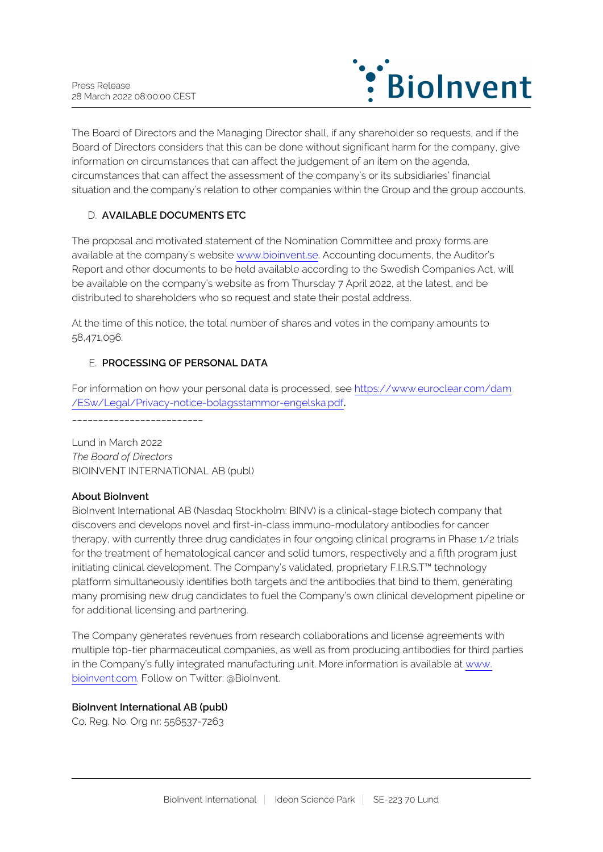

The Board of Directors and the Managing Director shall, if any shareholder so requests, and if the Board of Directors considers that this can be done without significant harm for the company, give information on circumstances that can affect the judgement of an item on the agenda, circumstances that can affect the assessment of the company's or its subsidiaries' financial situation and the company's relation to other companies within the Group and the group accounts.

# D. **AVAILABLE DOCUMENTS ETC**

The proposal and motivated statement of the Nomination Committee and proxy forms are available at the company's website [www.bioinvent.se](http://www.bioinvent.se/). Accounting documents, the Auditor's Report and other documents to be held available according to the Swedish Companies Act, will be available on the company's website as from Thursday 7 April 2022, at the latest, and be distributed to shareholders who so request and state their postal address.

At the time of this notice, the total number of shares and votes in the company amounts to 58,471,096.

# E. **PROCESSING OF PERSONAL DATA**

For information on how your personal data is processed, see [https://www.euroclear.com/dam](https://www.euroclear.com/dam/ESw/Legal/Privacy-notice-bolagsstammor-engelska.pdf) [/ESw/Legal/Privacy-notice-bolagsstammor-engelska.pdf](https://www.euroclear.com/dam/ESw/Legal/Privacy-notice-bolagsstammor-engelska.pdf)**.**

\_\_\_\_\_\_\_\_\_\_\_\_\_\_\_\_\_\_\_\_\_\_\_\_\_

Lund in March 2022 *The Board of Directors* BIOINVENT INTERNATIONAL AB (publ)

# **About BioInvent**

BioInvent International AB (Nasdaq Stockholm: BINV) is a clinical-stage biotech company that discovers and develops novel and first-in-class immuno-modulatory antibodies for cancer therapy, with currently three drug candidates in four ongoing clinical programs in Phase 1/2 trials for the treatment of hematological cancer and solid tumors, respectively and a fifth program just initiating clinical development. The Company's validated, proprietary F.I.R.S.T™ technology platform simultaneously identifies both targets and the antibodies that bind to them, generating many promising new drug candidates to fuel the Company's own clinical development pipeline or for additional licensing and partnering.

The Company generates revenues from research collaborations and license agreements with multiple top-tier pharmaceutical companies, as well as from producing antibodies for third parties in the Company's fully integrated manufacturing unit. More information is available at [www.](http://www.bioinvent.com/) [bioinvent.com](http://www.bioinvent.com/). Follow on Twitter: @BioInvent.

# **BioInvent International AB (publ)**

Co. Reg. No. Org nr: 556537-7263